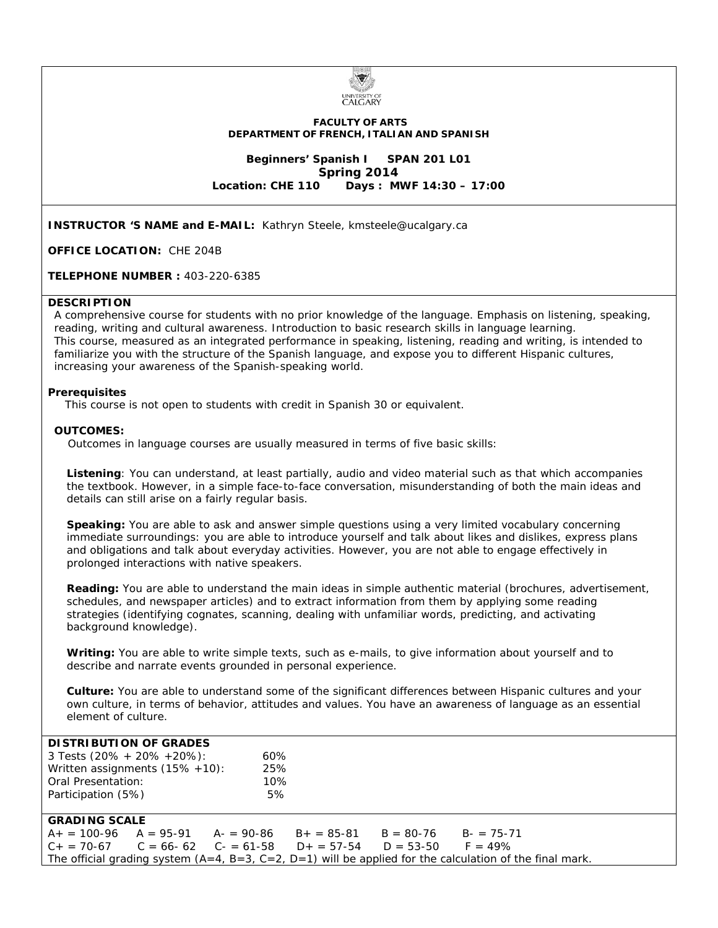

#### **FACULTY OF ARTS DEPARTMENT OF FRENCH, ITALIAN AND SPANISH**

**Beginners' Spanish I SPAN 201 L01 Spring 2014**<br>Location: CHE 110 Davs: M **Location: CHE 110 Days : MWF 14:30 – 17:00**

**INSTRUCTOR 'S NAME and E-MAIL:** Kathryn Steele, kmsteele@ucalgary.ca

**OFFICE LOCATION:** CHE 204B

**TELEPHONE NUMBER :** 403-220-6385

#### **DESCRIPTION**

A comprehensive course for students with no prior knowledge of the language. Emphasis on listening, speaking, reading, writing and cultural awareness. Introduction to basic research skills in language learning. This course, measured as an integrated performance in speaking, listening, reading and writing, is intended to familiarize you with the structure of the Spanish language, and expose you to different Hispanic cultures, increasing your awareness of the Spanish-speaking world.

#### **Prerequisites**

This course is not open to students with credit in Spanish 30 or equivalent.

#### **OUTCOMES:**

Outcomes in language courses are usually measured in terms of five basic skills:

**Listening**: You can understand, at least partially, audio and video material such as that which accompanies the textbook. However, in a simple face-to-face conversation, misunderstanding of both the main ideas and details can still arise on a fairly regular basis.

**Speaking:** You are able to ask and answer simple questions using a very limited vocabulary concerning immediate surroundings: you are able to introduce yourself and talk about likes and dislikes, express plans and obligations and talk about everyday activities. However, you are not able to engage effectively in prolonged interactions with native speakers.

**Reading:** You are able to understand the main ideas in simple authentic material (brochures, advertisement, schedules, and newspaper articles) and to extract information from them by applying some reading strategies (identifying cognates, scanning, dealing with unfamiliar words, predicting, and activating background knowledge).

**Writing:** You are able to write simple texts, such as e-mails, to give information about yourself and to describe and narrate events grounded in personal experience.

**Culture:** You are able to understand some of the significant differences between Hispanic cultures and your own culture, in terms of behavior, attitudes and values. You have an awareness of language as an essential element of culture.

| <b>DISTRIBUTION OF GRADES</b>                                                                             |  |                                                                  |  |  |               |  |
|-----------------------------------------------------------------------------------------------------------|--|------------------------------------------------------------------|--|--|---------------|--|
| 3 Tests $(20\% + 20\% + 20\%):$                                                                           |  | 60%                                                              |  |  |               |  |
| Written assignments $(15\% + 10)$ :                                                                       |  | 25%                                                              |  |  |               |  |
| Oral Presentation:                                                                                        |  | 10%                                                              |  |  |               |  |
| Participation (5%)                                                                                        |  | 5%                                                               |  |  |               |  |
|                                                                                                           |  |                                                                  |  |  |               |  |
| <b>GRADING SCALE</b>                                                                                      |  |                                                                  |  |  |               |  |
|                                                                                                           |  | $A_+ = 100-96$ $A = 95-91$ $A_-= 90-86$ $B_+= 85-81$ $B = 80-76$ |  |  | $B = 75 - 71$ |  |
| $C_+ = 70-67$ $C = 66-62$ $C_- = 61-58$ $D_+ = 57-54$ $D = 53-50$ $F = 49\%$                              |  |                                                                  |  |  |               |  |
| The official grading system $(A=4, B=3, C=2, D=1)$ will be applied for the calculation of the final mark. |  |                                                                  |  |  |               |  |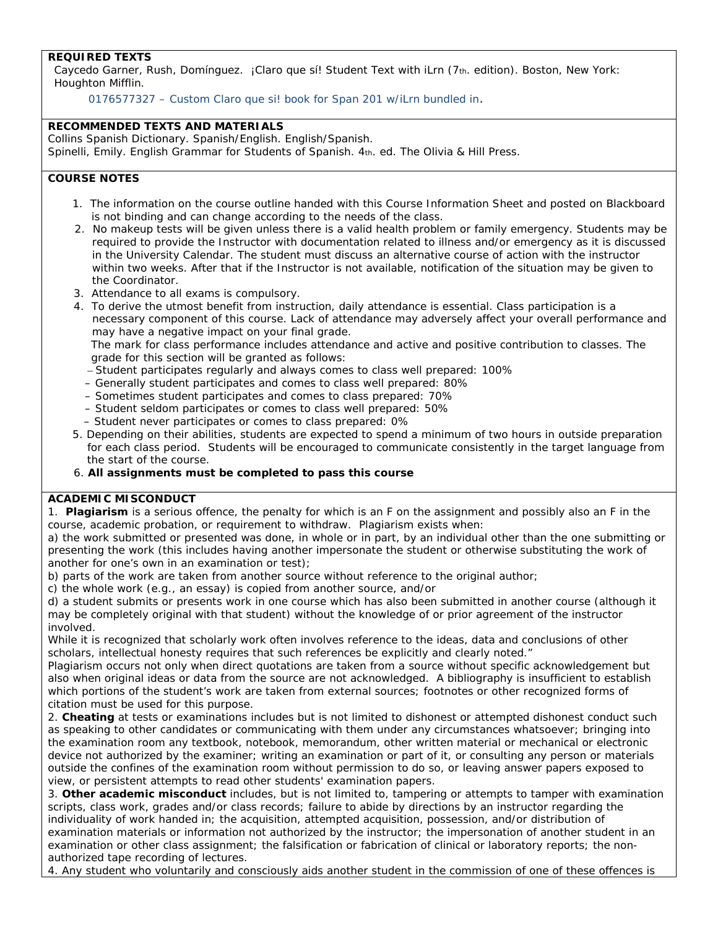## **REQUIRED TEXTS**

Caycedo Garner, Rush, Domínguez. *¡Claro que sí*! Student Text with iLrn (7th. edition). Boston, New York: Houghton Mifflin.

0176577327 – Custom Claro que si! book for Span 201 w/iLrn bundled in.

### **RECOMMENDED TEXTS AND MATERIALS**

Collins Spanish Dictionary. Spanish/English. English/Spanish. Spinelli, Emily. *English Grammar for Students of Spanish*. 4th. ed. The Olivia & Hill Press.

## **COURSE NOTES**

- 1. The information on the course outline handed with this Course Information Sheet and posted on Blackboard is not binding and can change according to the needs of the class.
- 2. No makeup tests will be given unless there is a valid health problem or family emergency. Students may be required to provide the Instructor with documentation related to illness and/or emergency as it is discussed in the University Calendar. The student must discuss an alternative course of action with the instructor within two weeks. After that if the Instructor is not available, notification of the situation may be given to the Coordinator.
- 3. Attendance to all exams is compulsory.

 4. To derive the utmost benefit from instruction, daily attendance is essential. Class participation is a necessary component of this course. Lack of attendance may adversely affect your overall performance and may have a negative impact on your final grade.

 The mark for class performance includes attendance and active and positive contribution to classes. The grade for this section will be granted as follows:

- Student participates regularly and always comes to class well prepared: 100%
- Generally student participates and comes to class well prepared: 80%
- Sometimes student participates and comes to class prepared: 70%
- Student seldom participates or comes to class well prepared: 50%
- Student never participates or comes to class prepared: 0%
- 5. Depending on their abilities, students are expected to spend a minimum of two hours in outside preparation for each class period. Students will be encouraged to communicate consistently in the target language from the start of the course.
- 6. **All assignments must be completed to pass this course**

### **ACADEMIC MISCONDUCT**

1. **Plagiarism** is a serious offence, the penalty for which is an F on the assignment and possibly also an F in the course, academic probation, or requirement to withdraw. Plagiarism exists when:

a) the work submitted or presented was done, in whole or in part, by an individual other than the one submitting or presenting the work (this includes having another impersonate the student or otherwise substituting the work of another for one's own in an examination or test);

- b) parts of the work are taken from another source without reference to the original author;
- c) the whole work (e.g., an essay) is copied from another source, and/or

d) a student submits or presents work in one course which has also been submitted in another course (although it may be completely original with that student) without the knowledge of or prior agreement of the instructor involved.

While it is recognized that scholarly work often involves reference to the ideas, data and conclusions of other scholars, intellectual honesty requires that such references be explicitly and clearly noted."

Plagiarism occurs not only when direct quotations are taken from a source without specific acknowledgement but also when original ideas or data from the source are not acknowledged. A bibliography is insufficient to establish which portions of the student's work are taken from external sources; footnotes or other recognized forms of citation must be used for this purpose.

2. **Cheating** at tests or examinations includes but is not limited to dishonest or attempted dishonest conduct such as speaking to other candidates or communicating with them under any circumstances whatsoever; bringing into the examination room any textbook, notebook, memorandum, other written material or mechanical or electronic device not authorized by the examiner; writing an examination or part of it, or consulting any person or materials outside the confines of the examination room without permission to do so, or leaving answer papers exposed to view, or persistent attempts to read other students' examination papers.

3. **Other academic misconduct** includes, but is not limited to, tampering or attempts to tamper with examination scripts, class work, grades and/or class records; failure to abide by directions by an instructor regarding the individuality of work handed in; the acquisition, attempted acquisition, possession, and/or distribution of examination materials or information not authorized by the instructor; the impersonation of another student in an examination or other class assignment; the falsification or fabrication of clinical or laboratory reports; the nonauthorized tape recording of lectures.

4. Any student who voluntarily and consciously aids another student in the commission of one of these offences is